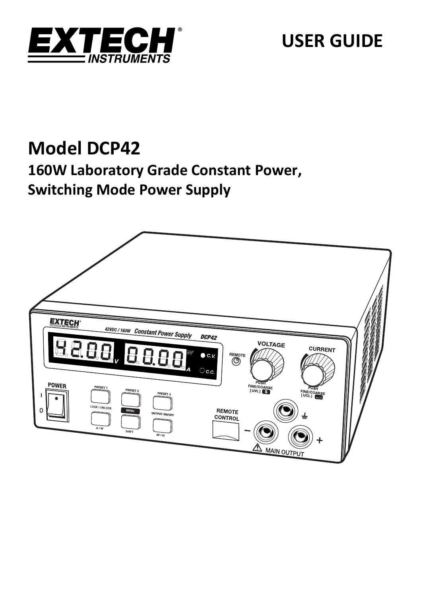

# **USER GUIDE**

# **Model DCP42**

## **160W Laboratory Grade Constant Power, Switching Mode Power Supply**

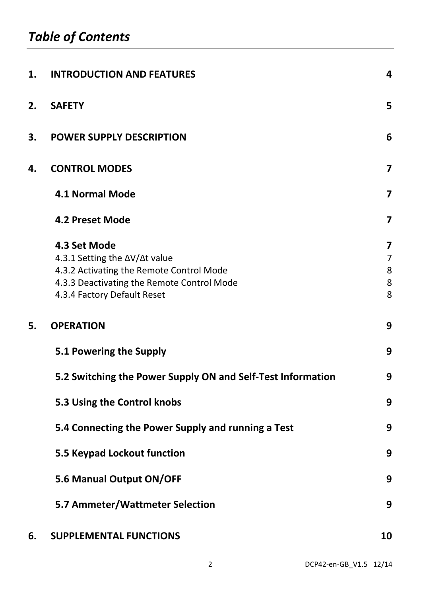| 1. | <b>INTRODUCTION AND FEATURES</b>                                          | 4                       |
|----|---------------------------------------------------------------------------|-------------------------|
| 2. | <b>SAFETY</b>                                                             | 5                       |
| 3. | <b>POWER SUPPLY DESCRIPTION</b>                                           | 6                       |
| 4. | <b>CONTROL MODES</b>                                                      | 7                       |
|    | <b>4.1 Normal Mode</b>                                                    | 7                       |
|    | 4.2 Preset Mode                                                           | $\overline{\mathbf{z}}$ |
|    | 4.3 Set Mode                                                              | 7                       |
|    | 4.3.1 Setting the ∆V/∆t value                                             | 7                       |
|    | 4.3.2 Activating the Remote Control Mode                                  | 8                       |
|    | 4.3.3 Deactivating the Remote Control Mode<br>4.3.4 Factory Default Reset | 8<br>8                  |
| 5. | <b>OPERATION</b>                                                          | 9                       |
|    | 5.1 Powering the Supply                                                   | 9                       |
|    | 5.2 Switching the Power Supply ON and Self-Test Information               | 9                       |
|    | 5.3 Using the Control knobs                                               | 9                       |
|    | 5.4 Connecting the Power Supply and running a Test                        | 9                       |
|    | 5.5 Keypad Lockout function                                               | 9                       |
|    | 5.6 Manual Output ON/OFF                                                  | 9                       |
|    | 5.7 Ammeter/Wattmeter Selection                                           | 9                       |
| 6. | <b>SUPPLEMENTAL FUNCTIONS</b>                                             | 10                      |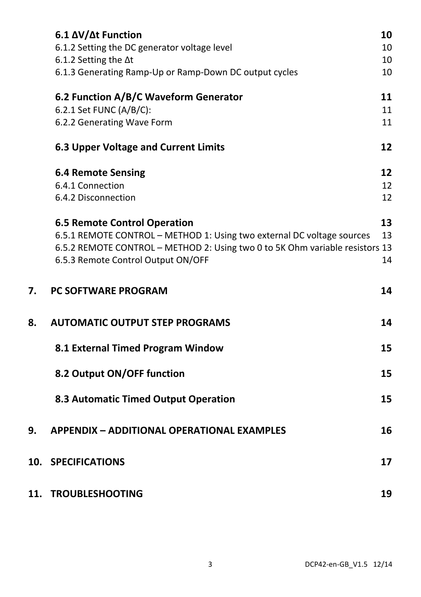|     | 6.1 ΔV/Δt Function<br>6.1.2 Setting the DC generator voltage level           | 10<br>10 |
|-----|------------------------------------------------------------------------------|----------|
|     | 6.1.2 Setting the ∆t                                                         | 10       |
|     | 6.1.3 Generating Ramp-Up or Ramp-Down DC output cycles                       | 10       |
|     |                                                                              |          |
|     | 6.2 Function A/B/C Waveform Generator                                        | 11       |
|     | 6.2.1 Set FUNC (A/B/C):                                                      | 11       |
|     | 6.2.2 Generating Wave Form                                                   | 11       |
|     | <b>6.3 Upper Voltage and Current Limits</b>                                  | 12       |
|     | <b>6.4 Remote Sensing</b>                                                    | 12       |
|     | 6.4.1 Connection                                                             | 12       |
|     | 6.4.2 Disconnection                                                          | 12       |
|     | <b>6.5 Remote Control Operation</b>                                          | 13       |
|     | 6.5.1 REMOTE CONTROL - METHOD 1: Using two external DC voltage sources       | 13       |
|     | 6.5.2 REMOTE CONTROL - METHOD 2: Using two 0 to 5K Ohm variable resistors 13 |          |
|     | 6.5.3 Remote Control Output ON/OFF                                           | 14       |
|     |                                                                              |          |
|     |                                                                              |          |
| 7.  | PC SOFTWARE PROGRAM                                                          | 14       |
| 8.  | <b>AUTOMATIC OUTPUT STEP PROGRAMS</b>                                        | 14       |
|     | 8.1 External Timed Program Window                                            | 15       |
|     | 8.2 Output ON/OFF function                                                   | 15       |
|     | 8.3 Automatic Timed Output Operation                                         | 15       |
|     |                                                                              |          |
| 9.  | <b>APPENDIX - ADDITIONAL OPERATIONAL EXAMPLES</b>                            | 16       |
| 10. | <b>SPECIFICATIONS</b>                                                        | 17       |
|     | 11. TROUBLESHOOTING                                                          | 19       |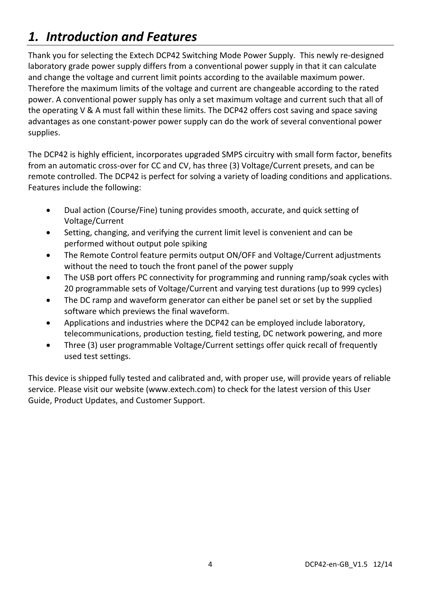## *1. Introduction and Features*

Thank you for selecting the Extech DCP42 Switching Mode Power Supply. This newly re‐designed laboratory grade power supply differs from a conventional power supply in that it can calculate and change the voltage and current limit points according to the available maximum power. Therefore the maximum limits of the voltage and current are changeable according to the rated power. A conventional power supply has only a set maximum voltage and current such that all of the operating V & A must fall within these limits. The DCP42 offers cost saving and space saving advantages as one constant‐power power supply can do the work of several conventional power supplies.

The DCP42 is highly efficient, incorporates upgraded SMPS circuitry with small form factor, benefits from an automatic cross-over for CC and CV, has three (3) Voltage/Current presets, and can be remote controlled. The DCP42 is perfect for solving a variety of loading conditions and applications. Features include the following:

- Dual action (Course/Fine) tuning provides smooth, accurate, and quick setting of Voltage/Current
- Setting, changing, and verifying the current limit level is convenient and can be performed without output pole spiking
- The Remote Control feature permits output ON/OFF and Voltage/Current adjustments without the need to touch the front panel of the power supply
- The USB port offers PC connectivity for programming and running ramp/soak cycles with 20 programmable sets of Voltage/Current and varying test durations (up to 999 cycles)
- The DC ramp and waveform generator can either be panel set or set by the supplied software which previews the final waveform.
- Applications and industries where the DCP42 can be employed include laboratory, telecommunications, production testing, field testing, DC network powering, and more
- Three (3) user programmable Voltage/Current settings offer quick recall of frequently used test settings.

This device is shipped fully tested and calibrated and, with proper use, will provide years of reliable service. Please visit our website (www.extech.com) to check for the latest version of this User Guide, Product Updates, and Customer Support.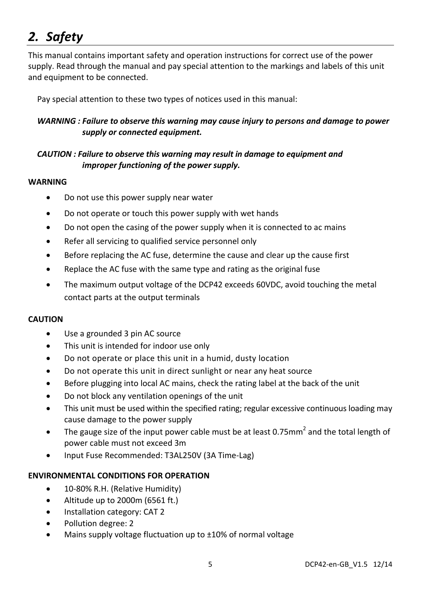## *2. Safety*

This manual contains important safety and operation instructions for correct use of the power supply. Read through the manual and pay special attention to the markings and labels of this unit and equipment to be connected.

Pay special attention to these two types of notices used in this manual:

#### *WARNING : Failure to observe this warning may cause injury to persons and damage to power supply or connected equipment.*

#### *CAUTION : Failure to observe this warning may result in damage to equipment and improper functioning of the power supply.*

#### **WARNING**

- Do not use this power supply near water
- Do not operate or touch this power supply with wet hands
- Do not open the casing of the power supply when it is connected to ac mains
- Refer all servicing to qualified service personnel only
- Before replacing the AC fuse, determine the cause and clear up the cause first
- Replace the AC fuse with the same type and rating as the original fuse
- The maximum output voltage of the DCP42 exceeds 60VDC, avoid touching the metal contact parts at the output terminals

#### **CAUTION**

- Use a grounded 3 pin AC source
- This unit is intended for indoor use only
- Do not operate or place this unit in a humid, dusty location
- Do not operate this unit in direct sunlight or near any heat source
- Before plugging into local AC mains, check the rating label at the back of the unit
- Do not block any ventilation openings of the unit
- This unit must be used within the specified rating; regular excessive continuous loading may cause damage to the power supply
- The gauge size of the input power cable must be at least 0.75 $\text{mm}^2$  and the total length of power cable must not exceed 3m
- Input Fuse Recommended: T3AL250V (3A Time‐Lag)

#### **ENVIRONMENTAL CONDITIONS FOR OPERATION**

- 10-80% R.H. (Relative Humidity)
- Altitude up to 2000m (6561 ft.)
- Installation category: CAT 2
- Pollution degree: 2
- Mains supply voltage fluctuation up to ±10% of normal voltage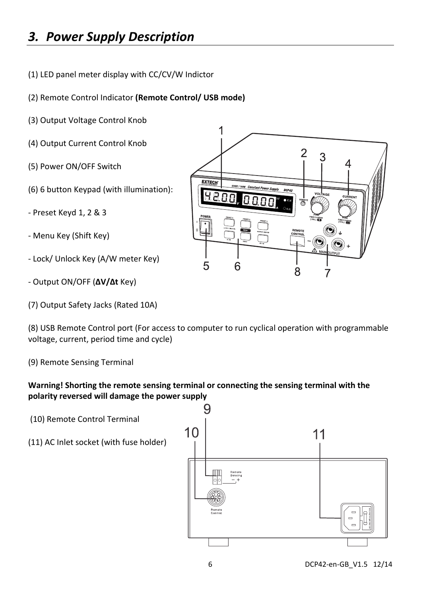## *3. Power Supply Description*

- (1) LED panel meter display with CC/CV/W Indictor
- (2) Remote Control Indicator **(Remote Control/ USB mode)**
- (3) Output Voltage Control Knob
- (4) Output Current Control Knob
- (5) Power ON/OFF Switch
- (6) 6 button Keypad (with illumination):
- ‐ Preset Keyd 1, 2 & 3
- ‐ Menu Key (Shift Key)
- ‐ Lock/ Unlock Key (A/W meter Key)
- ‐ Output ON/OFF (**ΔV/Δt** Key)
- (7) Output Safety Jacks (Rated 10A)

(8) USB Remote Control port (For access to computer to run cyclical operation with programmable voltage, current, period time and cycle)

(9) Remote Sensing Terminal

#### **Warning! Shorting the remote sensing terminal or connecting the sensing terminal with the polarity reversed will damage the power supply**

- (10) Remote Control Terminal
- (11) AC Inlet socket (with fuse holder)



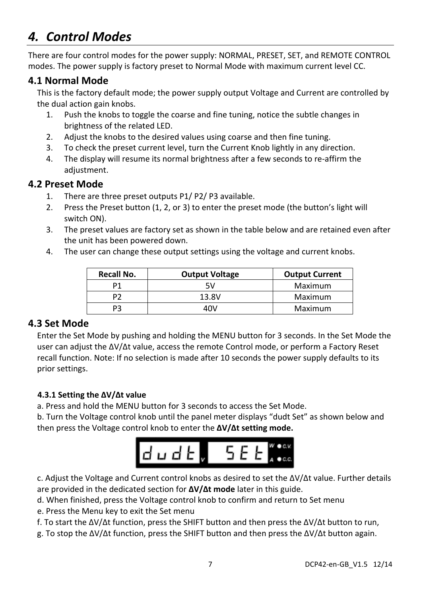## *4. Control Modes*

There are four control modes for the power supply: NORMAL, PRESET, SET, and REMOTE CONTROL modes. The power supply is factory preset to Normal Mode with maximum current level CC.

### **4.1 Normal Mode**

This is the factory default mode; the power supply output Voltage and Current are controlled by the dual action gain knobs.

- 1. Push the knobs to toggle the coarse and fine tuning, notice the subtle changes in brightness of the related LED.
- 2. Adjust the knobs to the desired values using coarse and then fine tuning.
- 3. To check the preset current level, turn the Current Knob lightly in any direction.
- 4. The display will resume its normal brightness after a few seconds to re‐affirm the adiustment.

#### **4.2 Preset Mode**

- 1. There are three preset outputs P1/ P2/ P3 available.
- 2. Press the Preset button (1, 2, or 3) to enter the preset mode (the button's light will switch ON).
- 3. The preset values are factory set as shown in the table below and are retained even after the unit has been powered down.
- 4. The user can change these output settings using the voltage and current knobs.

| Recall No. | <b>Output Voltage</b> | <b>Output Current</b> |  |  |  |  |
|------------|-----------------------|-----------------------|--|--|--|--|
| P1         | 5V                    | Maximum               |  |  |  |  |
| P2         | 13.8V                 | Maximum               |  |  |  |  |
| P3         | 10 V                  | Maximum               |  |  |  |  |

## **4.3 Set Mode**

Enter the Set Mode by pushing and holding the MENU button for 3 seconds. In the Set Mode the user can adjust the ΔV/Δt value, access the remote Control mode, or perform a Factory Reset recall function. Note: If no selection is made after 10 seconds the power supply defaults to its prior settings.

#### **4.3.1 Setting the ΔV/Δt value**

a. Press and hold the MENU button for 3 seconds to access the Set Mode.

b. Turn the Voltage control knob until the panel meter displays "dudt Set" as shown below and then press the Voltage control knob to enter the **ΔV/Δt setting mode.**



c. Adjust the Voltage and Current control knobs as desired to set the ΔV/Δt value. Further details are provided in the dedicated section for **ΔV/Δt mode** later in this guide.

d. When finished, press the Voltage control knob to confirm and return to Set menu

e. Press the Menu key to exit the Set menu

f. To start the ΔV/Δt function, press the SHIFT button and then press the ΔV/Δt button to run,

g. To stop the ΔV/Δt function, press the SHIFT button and then press the ΔV/Δt button again.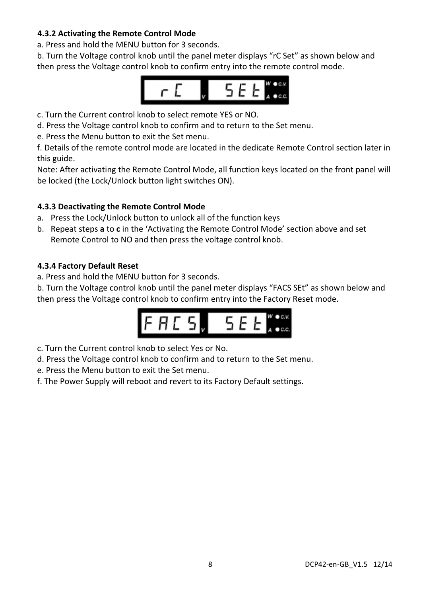#### **4.3.2 Activating the Remote Control Mode**

a. Press and hold the MENU button for 3 seconds.

b. Turn the Voltage control knob until the panel meter displays "rC Set" as shown below and then press the Voltage control knob to confirm entry into the remote control mode.



c. Turn the Current control knob to select remote YES or NO.

d. Press the Voltage control knob to confirm and to return to the Set menu.

e. Press the Menu button to exit the Set menu.

f. Details of the remote control mode are located in the dedicate Remote Control section later in this guide.

Note: After activating the Remote Control Mode, all function keys located on the front panel will be locked (the Lock/Unlock button light switches ON).

#### **4.3.3 Deactivating the Remote Control Mode**

- a. Press the Lock/Unlock button to unlock all of the function keys
- b. Repeat steps **a** to **c** in the 'Activating the Remote Control Mode' section above and set Remote Control to NO and then press the voltage control knob.

#### **4.3.4 Factory Default Reset**

a. Press and hold the MENU button for 3 seconds.

b. Turn the Voltage control knob until the panel meter displays "FACS SEt" as shown below and then press the Voltage control knob to confirm entry into the Factory Reset mode.



c. Turn the Current control knob to select Yes or No.

- d. Press the Voltage control knob to confirm and to return to the Set menu.
- e. Press the Menu button to exit the Set menu.
- f. The Power Supply will reboot and revert to its Factory Default settings.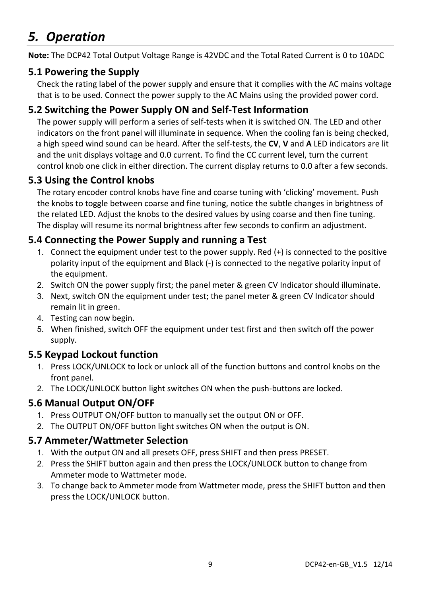## *5. Operation*

**Note:** The DCP42 Total Output Voltage Range is 42VDC and the Total Rated Current is 0 to 10ADC

## **5.1 Powering the Supply**

Check the rating label of the power supply and ensure that it complies with the AC mains voltage that is to be used. Connect the power supply to the AC Mains using the provided power cord.

## **5.2 Switching the Power Supply ON and Self‐Test Information**

The power supply will perform a series of self-tests when it is switched ON. The LED and other indicators on the front panel will illuminate in sequence. When the cooling fan is being checked, a high speed wind sound can be heard. After the self‐tests, the **CV**, **V** and **A** LED indicators are lit and the unit displays voltage and 0.0 current. To find the CC current level, turn the current control knob one click in either direction. The current display returns to 0.0 after a few seconds.

## **5.3 Using the Control knobs**

The rotary encoder control knobs have fine and coarse tuning with 'clicking' movement. Push the knobs to toggle between coarse and fine tuning, notice the subtle changes in brightness of the related LED. Adjust the knobs to the desired values by using coarse and then fine tuning. The display will resume its normal brightness after few seconds to confirm an adjustment.

## **5.4 Connecting the Power Supply and running a Test**

- 1. Connect the equipment under test to the power supply. Red (+) is connected to the positive polarity input of the equipment and Black (‐) is connected to the negative polarity input of the equipment.
- 2. Switch ON the power supply first; the panel meter & green CV Indicator should illuminate.
- 3. Next, switch ON the equipment under test; the panel meter & green CV Indicator should remain lit in green.
- 4. Testing can now begin.
- 5. When finished, switch OFF the equipment under test first and then switch off the power supply.

## **5.5 Keypad Lockout function**

- 1. Press LOCK/UNLOCK to lock or unlock all of the function buttons and control knobs on the front panel.
- 2. The LOCK/UNLOCK button light switches ON when the push-buttons are locked.

## **5.6 Manual Output ON/OFF**

- 1. Press OUTPUT ON/OFF button to manually set the output ON or OFF.
- 2. The OUTPUT ON/OFF button light switches ON when the output is ON.

## **5.7 Ammeter/Wattmeter Selection**

- 1. With the output ON and all presets OFF, press SHIFT and then press PRESET.
- 2. Press the SHIFT button again and then press the LOCK/UNLOCK button to change from Ammeter mode to Wattmeter mode.
- 3. To change back to Ammeter mode from Wattmeter mode, press the SHIFT button and then press the LOCK/UNLOCK button.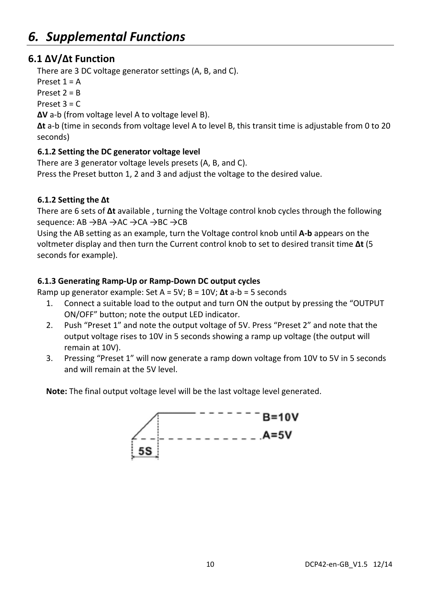## **6.1 ΔV/Δt Function**

There are 3 DC voltage generator settings (A, B, and C).

Preset  $1 = A$ 

Preset  $2 = B$ 

Preset  $3 = C$ 

**ΔV** a‐b (from voltage level A to voltage level B).

**Δt** a‐b (time in seconds from voltage level A to level B, this transit time is adjustable from 0 to 20 seconds)

#### **6.1.2 Setting the DC generator voltage level**

There are 3 generator voltage levels presets (A, B, and C). Press the Preset button 1, 2 and 3 and adjust the voltage to the desired value.

### **6.1.2 Setting the Δt**

There are 6 sets of **Δt** available , turning the Voltage control knob cycles through the following sequence: AB →BA →AC →CA →BC →CB

Using the AB setting as an example, turn the Voltage control knob until **A‐b** appears on the voltmeter display and then turn the Current control knob to set to desired transit time **Δt** (5 seconds for example).

### **6.1.3 Generating Ramp‐Up or Ramp‐Down DC output cycles**

Ramp up generator example: Set A = 5V; B = 10V; **Δt** a‐b = 5 seconds

- 1. Connect a suitable load to the output and turn ON the output by pressing the "OUTPUT ON/OFF" button; note the output LED indicator.
- 2. Push "Preset 1" and note the output voltage of 5V. Press "Preset 2" and note that the output voltage rises to 10V in 5 seconds showing a ramp up voltage (the output will remain at 10V).
- 3. Pressing "Preset 1" will now generate a ramp down voltage from 10V to 5V in 5 seconds and will remain at the 5V level.

**Note:** The final output voltage level will be the last voltage level generated.

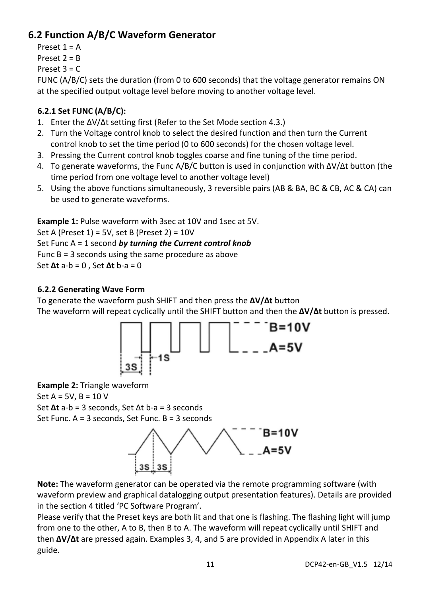## **6.2 Function A/B/C Waveform Generator**

Preset  $1 = \Delta$ 

Preset  $2 = R$ 

Preset  $3 = C$ 

FUNC (A/B/C) sets the duration (from 0 to 600 seconds) that the voltage generator remains ON at the specified output voltage level before moving to another voltage level.

### **6.2.1 Set FUNC (A/B/C):**

- 1. Enter the ΔV/Δt setting first (Refer to the Set Mode section 4.3.)
- 2. Turn the Voltage control knob to select the desired function and then turn the Current control knob to set the time period (0 to 600 seconds) for the chosen voltage level.
- 3. Pressing the Current control knob toggles coarse and fine tuning of the time period.
- 4. To generate waveforms, the Func A/B/C button is used in conjunction with ΔV/Δt button (the time period from one voltage level to another voltage level)
- 5. Using the above functions simultaneously, 3 reversible pairs (AB & BA, BC & CB, AC & CA) can be used to generate waveforms.

**Example 1:** Pulse waveform with 3sec at 10V and 1sec at 5V.

Set A (Preset 1) = 5V, set B (Preset 2) = 10V Set Func A = 1 second *by turning the Current control knob* Func B = 3 seconds using the same procedure as above Set **Δt** a‐b = 0 , Set **Δt** b‐a = 0

### **6.2.2 Generating Wave Form**

To generate the waveform push SHIFT and then press the **ΔV/Δt** button The waveform will repeat cyclically until the SHIFT button and then the **ΔV/Δt** button is pressed.



**Example 2:** Triangle waveform

Set  $A = 5V$ ,  $B = 10 V$ Set **Δt** a‐b = 3 seconds, Set Δt b‐a = 3 seconds Set Func. A = 3 seconds, Set Func. B = 3 seconds



**Note:** The waveform generator can be operated via the remote programming software (with waveform preview and graphical datalogging output presentation features). Details are provided in the section 4 titled 'PC Software Program'.

Please verify that the Preset keys are both lit and that one is flashing. The flashing light will jump from one to the other, A to B, then B to A. The waveform will repeat cyclically until SHIFT and then **ΔV/Δt** are pressed again. Examples 3, 4, and 5 are provided in Appendix A later in this guide.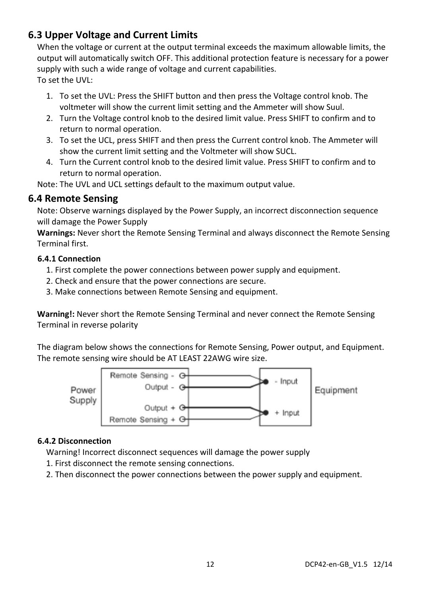## **6.3 Upper Voltage and Current Limits**

When the voltage or current at the output terminal exceeds the maximum allowable limits, the output will automatically switch OFF. This additional protection feature is necessary for a power supply with such a wide range of voltage and current capabilities. To set the  $UVL$ :

- 1. To set the UVL: Press the SHIFT button and then press the Voltage control knob. The voltmeter will show the current limit setting and the Ammeter will show Suul.
- 2. Turn the Voltage control knob to the desired limit value. Press SHIFT to confirm and to return to normal operation.
- 3. To set the UCL, press SHIFT and then press the Current control knob. The Ammeter will show the current limit setting and the Voltmeter will show SUCL.
- 4. Turn the Current control knob to the desired limit value. Press SHIFT to confirm and to return to normal operation.

Note: The UVL and UCL settings default to the maximum output value.

## **6.4 Remote Sensing**

Note: Observe warnings displayed by the Power Supply, an incorrect disconnection sequence will damage the Power Supply

**Warnings:** Never short the Remote Sensing Terminal and always disconnect the Remote Sensing Terminal first.

#### **6.4.1 Connection**

- 1. First complete the power connections between power supply and equipment.
- 2. Check and ensure that the power connections are secure.
- 3. Make connections between Remote Sensing and equipment.

**Warning!:** Never short the Remote Sensing Terminal and never connect the Remote Sensing Terminal in reverse polarity

The diagram below shows the connections for Remote Sensing, Power output, and Equipment. The remote sensing wire should be AT LEAST 22AWG wire size.



#### **6.4.2 Disconnection**

Warning! Incorrect disconnect sequences will damage the power supply

- 1. First disconnect the remote sensing connections.
- 2. Then disconnect the power connections between the power supply and equipment.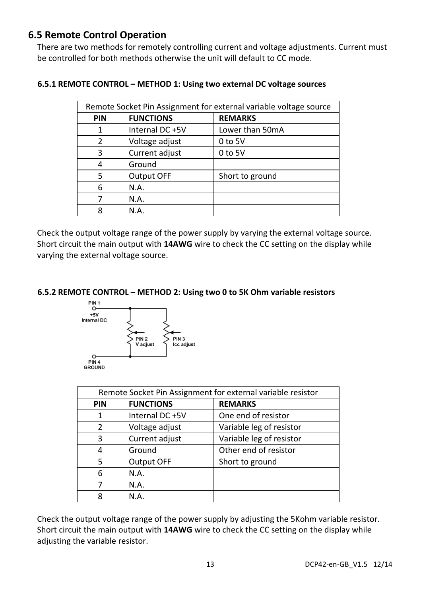## **6.5 Remote Control Operation**

There are two methods for remotely controlling current and voltage adjustments. Current must be controlled for both methods otherwise the unit will default to CC mode.

| Remote Socket Pin Assignment for external variable voltage source |                  |                 |  |
|-------------------------------------------------------------------|------------------|-----------------|--|
| PIN                                                               | <b>FUNCTIONS</b> | <b>REMARKS</b>  |  |
| 1                                                                 | Internal DC +5V  | Lower than 50mA |  |
| $\mathcal{P}$                                                     | Voltage adjust   | $0$ to 5V       |  |
| 3                                                                 | Current adjust   | $0$ to 5V       |  |
|                                                                   | Ground           |                 |  |
| 5                                                                 | Output OFF       | Short to ground |  |
| 6                                                                 | N.A.             |                 |  |
|                                                                   | N.A.             |                 |  |
|                                                                   | N.A.             |                 |  |

#### **6.5.1 REMOTE CONTROL – METHOD 1: Using two external DC voltage sources**

Check the output voltage range of the power supply by varying the external voltage source. Short circuit the main output with **14AWG** wire to check the CC setting on the display while varying the external voltage source.

#### **6.5.2 REMOTE CONTROL – METHOD 2: Using two 0 to 5K Ohm variable resistors**



| Remote Socket Pin Assignment for external variable resistor |                  |                          |  |  |
|-------------------------------------------------------------|------------------|--------------------------|--|--|
| <b>PIN</b>                                                  | <b>FUNCTIONS</b> | <b>REMARKS</b>           |  |  |
| 1                                                           | Internal DC +5V  | One end of resistor      |  |  |
| 2                                                           | Voltage adjust   | Variable leg of resistor |  |  |
| 3                                                           | Current adjust   | Variable leg of resistor |  |  |
| 4                                                           | Ground           | Other end of resistor    |  |  |
| 5                                                           | Output OFF       | Short to ground          |  |  |
| 6                                                           | N.A.             |                          |  |  |
|                                                             | N.A.             |                          |  |  |
| 8                                                           | N.A.             |                          |  |  |

Check the output voltage range of the power supply by adjusting the 5Kohm variable resistor. Short circuit the main output with **14AWG** wire to check the CC setting on the display while adjusting the variable resistor.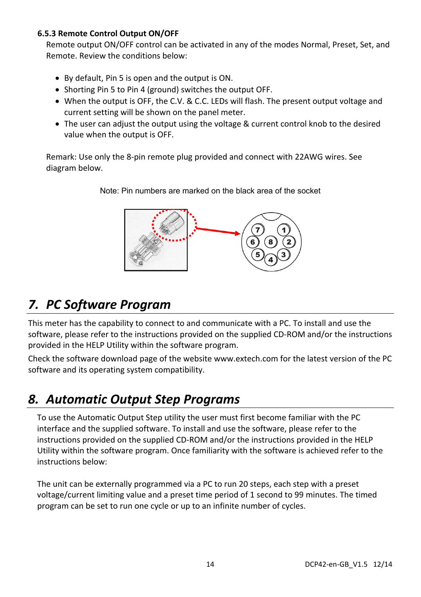#### **6.5.3 Remote Control Output ON/OFF**

Remote output ON/OFF control can be activated in any of the modes Normal, Preset, Set, and Remote. Review the conditions below:

- By default, Pin 5 is open and the output is ON.
- Shorting Pin 5 to Pin 4 (ground) switches the output OFF.
- When the output is OFF, the C.V. & C.C. LEDs will flash. The present output voltage and current setting will be shown on the panel meter.
- The user can adjust the output using the voltage & current control knob to the desired value when the output is OFF.

Remark: Use only the 8‐pin remote plug provided and connect with 22AWG wires. See diagram below.



Note: Pin numbers are marked on the black area of the socket

## *7. PC Software Program*

This meter has the capability to connect to and communicate with a PC. To install and use the software, please refer to the instructions provided on the supplied CD‐ROM and/or the instructions provided in the HELP Utility within the software program.

Check the software download page of the website www.extech.com for the latest version of the PC software and its operating system compatibility.

## *8. Automatic Output Step Programs*

To use the Automatic Output Step utility the user must first become familiar with the PC interface and the supplied software. To install and use the software, please refer to the instructions provided on the supplied CD‐ROM and/or the instructions provided in the HELP Utility within the software program. Once familiarity with the software is achieved refer to the instructions below:

The unit can be externally programmed via a PC to run 20 steps, each step with a preset voltage/current limiting value and a preset time period of 1 second to 99 minutes. The timed program can be set to run one cycle or up to an infinite number of cycles.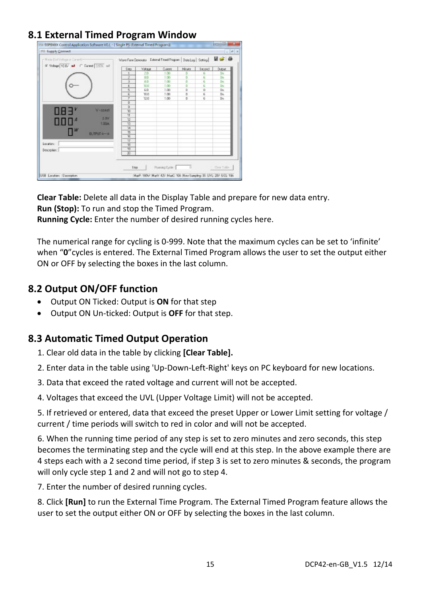## **8.1 External Timed Program Window**

| mil Supply Connect                       |                         |                                                                 |                |              |               | $   -$      |
|------------------------------------------|-------------------------|-----------------------------------------------------------------|----------------|--------------|---------------|-------------|
| Histo BetVollage or Darrentt-            |                         | Wave Farm Generator External Timed Program   Data Log   Setting |                |              |               | 96 S        |
| 6" Voltage 10 BV and C. Darwest 3576 and | \$m                     | Vikson                                                          | Cusero         | <b>Nings</b> | <b>Second</b> | Dutcut      |
|                                          |                         | 20                                                              | 1.00           |              | 8             | Dn.         |
|                                          | z                       | 80                                                              | 1.00           |              | 6             | Dn.         |
|                                          | $\overline{z}$          | ŁD                                                              | 1.00           | D            | c             | Do.         |
|                                          | k.                      | 30.0                                                            | 1.00           | D            | c             | Do          |
|                                          | s                       | ED                                                              | 1.00           | D            | $\alpha$      | Dn.         |
|                                          | Б                       | 10.0                                                            | 1.00           | D            | c             | Do.         |
|                                          | $\overline{r}$          | 12.0                                                            | 1.00           | D            | c             | Do.         |
|                                          | $\overline{D}$          |                                                                 |                |              |               |             |
| $V - \text{const}$                       | $\overline{9}$          |                                                                 |                |              |               |             |
| $\Box$ B $\exists$                       | $\overline{10}$         |                                                                 |                |              |               |             |
| 2.074                                    | 71<br>$\overline{u}$    |                                                                 |                |              |               |             |
| $\Box \Box \Box^4$<br>1,004              | 73                      |                                                                 |                |              |               |             |
|                                          | 74                      |                                                                 |                |              |               |             |
| W                                        | <b>TS</b>               |                                                                 |                |              |               |             |
| <b>BUTPUT o-D</b>                        | $\overline{\mathbf{z}}$ |                                                                 |                |              |               |             |
|                                          | 77                      |                                                                 |                |              |               |             |
| Location:                                | স্ক                     |                                                                 |                |              |               |             |
| Descroites:                              | 79                      |                                                                 |                |              |               |             |
|                                          | $\overline{30}$         |                                                                 |                |              |               |             |
|                                          | 5 too                   |                                                                 | Pawwing Cycle: | n            |               | Clear Table |

**Clear Table:** Delete all data in the Display Table and prepare for new data entry. **Run (Stop):** To run and stop the Timed Program.

**Running Cycle:** Enter the number of desired running cycles here.

The numerical range for cycling is 0‐999. Note that the maximum cycles can be set to 'infinite' when "**0**"cycles is entered. The External Timed Program allows the user to set the output either ON or OFF by selecting the boxes in the last column.

### **8.2 Output ON/OFF function**

- Output ON Ticked: Output is **ON** for that step
- Output ON Un‐ticked: Output is **OFF** for that step.

## **8.3 Automatic Timed Output Operation**

1. Clear old data in the table by clicking **[Clear Table].**

2. Enter data in the table using 'Up‐Down‐Left‐Right' keys on PC keyboard for new locations.

- 3. Data that exceed the rated voltage and current will not be accepted.
- 4. Voltages that exceed the UVL (Upper Voltage Limit) will not be accepted.

5. If retrieved or entered, data that exceed the preset Upper or Lower Limit setting for voltage / current / time periods will switch to red in color and will not be accepted.

6. When the running time period of any step is set to zero minutes and zero seconds, this step becomes the terminating step and the cycle will end at this step. In the above example there are 4 steps each with a 2 second time period, if step 3 is set to zero minutes & seconds, the program will only cycle step 1 and 2 and will not go to step 4.

7. Enter the number of desired running cycles.

8. Click **[Run]** to run the External Time Program. The External Timed Program feature allows the user to set the output either ON or OFF by selecting the boxes in the last column.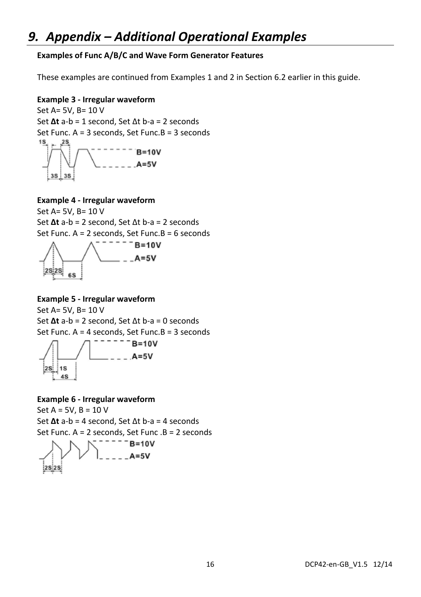#### **Examples of Func A/B/C and Wave Form Generator Features**

These examples are continued from Examples 1 and 2 in Section 6.2 earlier in this guide.

#### **Example 3 ‐ Irregular waveform**

Set A= 5V, B= 10 V Set **Δt** a‐b = 1 second, Set Δt b‐a = 2 seconds Set Func. A = 3 seconds, Set Func.B = 3 seconds  $1S$  $B = 10V$  $A=5V$  $3S$  $3S$ 

#### **Example 4 ‐ Irregular waveform**

Set A= 5V, B= 10 V Set **Δt** a‐b = 2 second, Set Δt b‐a = 2 seconds Set Func. A = 2 seconds, Set Func.B = 6 seconds



## **Example 5 ‐ Irregular waveform**

Set A= 5V, B= 10 V Set **Δt** a‐b = 2 second, Set Δt b‐a = 0 seconds Set Func. A = 4 seconds, Set Func.B = 3 seconds  $B = 10V$  $A = 5V$ 

## **Example 6 ‐ Irregular waveform**

 $2S$  1s  $4S$ 

Set  $A = 5V$ ,  $B = 10 V$ Set **Δt** a‐b = 4 second, Set Δt b‐a = 4 seconds Set Func. A = 2 seconds, Set Func .B = 2 seconds $B = 10V$  $A=5V$  $|2S|2S|$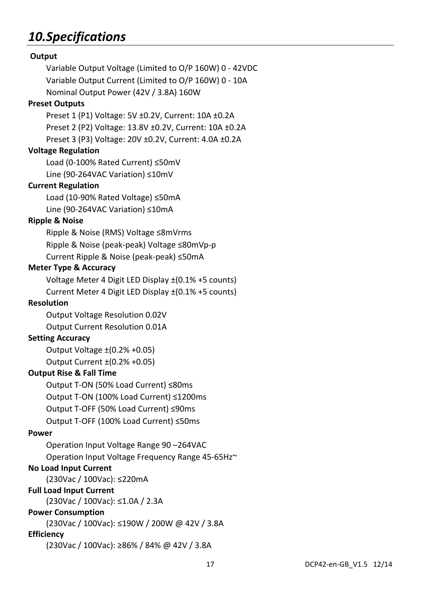## *10.Specifications*

| Output                                                          |  |
|-----------------------------------------------------------------|--|
| Variable Output Voltage (Limited to O/P 160W) 0 - 42VDC         |  |
| Variable Output Current (Limited to O/P 160W) 0 - 10A           |  |
| Nominal Output Power (42V / 3.8A) 160W                          |  |
| <b>Preset Outputs</b>                                           |  |
| Preset 1 (P1) Voltage: 5V ±0.2V, Current: 10A ±0.2A             |  |
| Preset 2 (P2) Voltage: 13.8V ±0.2V, Current: 10A ±0.2A          |  |
| Preset 3 (P3) Voltage: 20V ±0.2V, Current: 4.0A ±0.2A           |  |
| <b>Voltage Regulation</b>                                       |  |
| Load (0-100% Rated Current) ≤50mV                               |  |
| Line (90-264VAC Variation) ≤10mV                                |  |
| <b>Current Regulation</b>                                       |  |
| Load (10-90% Rated Voltage) ≤50mA                               |  |
| Line (90-264VAC Variation) ≤10mA                                |  |
| <b>Ripple &amp; Noise</b>                                       |  |
| Ripple & Noise (RMS) Voltage ≤8mVrms                            |  |
| Ripple & Noise (peak-peak) Voltage ≤80mVp-p                     |  |
| Current Ripple & Noise (peak-peak) ≤50mA                        |  |
| <b>Meter Type &amp; Accuracy</b>                                |  |
| Voltage Meter 4 Digit LED Display $\pm$ (0.1% +5 counts)        |  |
| Current Meter 4 Digit LED Display $\pm$ (0.1% +5 counts)        |  |
| <b>Resolution</b>                                               |  |
| Output Voltage Resolution 0.02V                                 |  |
| Output Current Resolution 0.01A                                 |  |
| <b>Setting Accuracy</b>                                         |  |
| Output Voltage $\pm$ (0.2% +0.05)                               |  |
| Output Current ±(0.2% +0.05)                                    |  |
| <b>Output Rise &amp; Fall Time</b>                              |  |
| Output T-ON (50% Load Current) ≤80ms                            |  |
| Output T-ON (100% Load Current) ≤1200ms                         |  |
| Output T-OFF (50% Load Current) ≤90ms                           |  |
| Output T-OFF (100% Load Current) ≤50ms                          |  |
| Power                                                           |  |
| Operation Input Voltage Range 90-264VAC                         |  |
| Operation Input Voltage Frequency Range 45-65Hz~                |  |
| <b>No Load Input Current</b>                                    |  |
| (230Vac / 100Vac): ≤220mA                                       |  |
| <b>Full Load Input Current</b>                                  |  |
| (230Vac / 100Vac): ≤1.0A / 2.3A                                 |  |
| <b>Power Consumption</b>                                        |  |
| (230Vac / 100Vac): ≤190W / 200W @ 42V / 3.8A                    |  |
| <b>Efficiency</b><br>(230Vac / 100Vac): ≥86% / 84% @ 42V / 3.8A |  |
|                                                                 |  |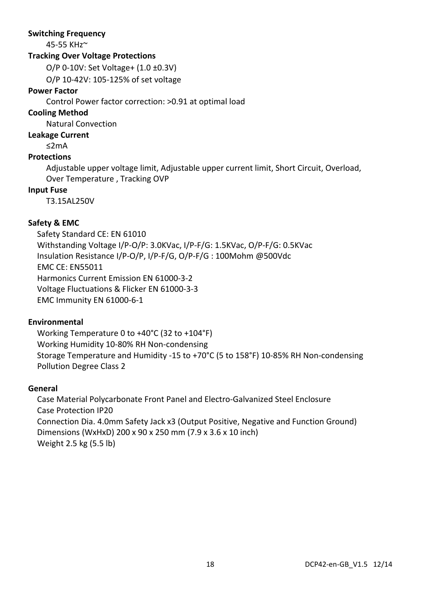#### **Switching Frequency**

45‐55 KHz~

#### **Tracking Over Voltage Protections**

O/P 0‐10V: Set Voltage+ (1.0 ±0.3V)

O/P 10‐42V: 105‐125% of set voltage

#### **Power Factor**

Control Power factor correction: >0.91 at optimal load

#### **Cooling Method**

Natural Convection

#### **Leakage Current**

≤2mA

#### **Protections**

Adjustable upper voltage limit, Adjustable upper current limit, Short Circuit, Overload, Over Temperature , Tracking OVP

#### **Input Fuse**

T3.15AL250V

#### **Safety & EMC**

Safety Standard CE: EN 61010 Withstanding Voltage I/P‐O/P: 3.0KVac, I/P‐F/G: 1.5KVac, O/P‐F/G: 0.5KVac Insulation Resistance I/P‐O/P, I/P‐F/G, O/P‐F/G : 100Mohm @500Vdc EMC CE: EN55011 Harmonics Current Emission EN 61000‐3‐2 Voltage Fluctuations & Flicker EN 61000‐3‐3 EMC Immunity EN 61000‐6‐1

#### **Environmental**

Working Temperature 0 to +40°C (32 to +104°F) Working Humidity 10‐80% RH Non‐condensing Storage Temperature and Humidity ‐15 to +70°C (5 to 158°F) 10‐85% RH Non‐condensing Pollution Degree Class 2

#### **General**

Case Material Polycarbonate Front Panel and Electro‐Galvanized Steel Enclosure Case Protection IP20 Connection Dia. 4.0mm Safety Jack x3 (Output Positive, Negative and Function Ground) Dimensions (WxHxD) 200 x 90 x 250 mm (7.9 x 3.6 x 10 inch) Weight 2.5 kg (5.5 lb)